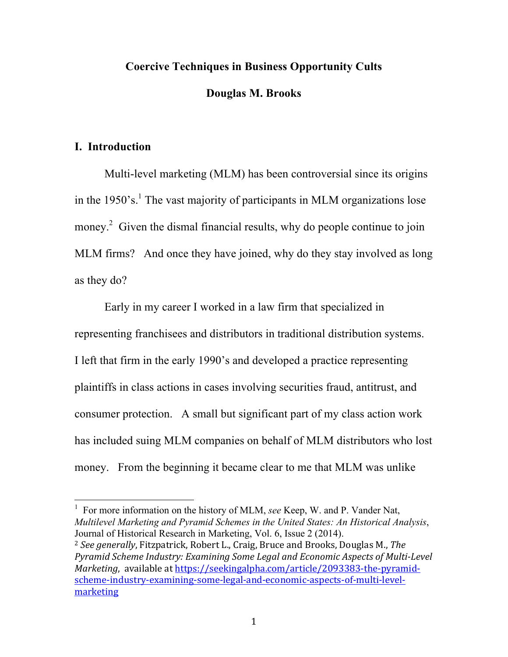## **Coercive Techniques in Business Opportunity Cults**

### **Douglas M. Brooks**

## **I. Introduction**

Multi-level marketing (MLM) has been controversial since its origins in the  $1950$ 's.<sup>1</sup> The vast majority of participants in MLM organizations lose money.<sup>2</sup> Given the dismal financial results, why do people continue to join MLM firms? And once they have joined, why do they stay involved as long as they do?

Early in my career I worked in a law firm that specialized in representing franchisees and distributors in traditional distribution systems. I left that firm in the early 1990's and developed a practice representing plaintiffs in class actions in cases involving securities fraud, antitrust, and consumer protection. A small but significant part of my class action work has included suing MLM companies on behalf of MLM distributors who lost money. From the beginning it became clear to me that MLM was unlike

<sup>1</sup> For more information on the history of MLM, *see* Keep, W. and P. Vander Nat, *Multilevel Marketing and Pyramid Schemes in the United States: An Historical Analysis*, Journal of Historical Research in Marketing, Vol. 6, Issue 2 (2014).

<sup>2</sup> See generally, Fitzpatrick, Robert L., Craig, Bruce and Brooks, Douglas M., *The* Pyramid Scheme Industry: Examining Some Legal and Economic Aspects of Multi-Level *Marketing*, available at https://seekingalpha.com/article/2093383-the-pyramidscheme-industry-examining-some-legal-and-economic-aspects-of-multi-levelmarketing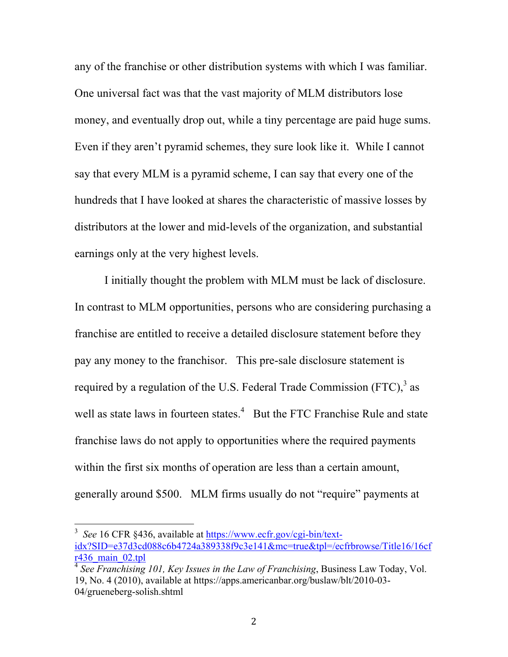any of the franchise or other distribution systems with which I was familiar. One universal fact was that the vast majority of MLM distributors lose money, and eventually drop out, while a tiny percentage are paid huge sums. Even if they aren't pyramid schemes, they sure look like it. While I cannot say that every MLM is a pyramid scheme, I can say that every one of the hundreds that I have looked at shares the characteristic of massive losses by distributors at the lower and mid-levels of the organization, and substantial earnings only at the very highest levels.

I initially thought the problem with MLM must be lack of disclosure. In contrast to MLM opportunities, persons who are considering purchasing a franchise are entitled to receive a detailed disclosure statement before they pay any money to the franchisor. This pre-sale disclosure statement is required by a regulation of the U.S. Federal Trade Commission (FTC), $3$  as well as state laws in fourteen states.<sup>4</sup> But the FTC Franchise Rule and state franchise laws do not apply to opportunities where the required payments within the first six months of operation are less than a certain amount, generally around \$500. MLM firms usually do not "require" payments at

<sup>&</sup>lt;sup>3</sup> See 16 CFR §436, available at https://www.ecfr.gov/cgi-bin/textidx?SID=e37d3cd088c6b4724a389338f9c3e141&mc=true&tpl=/ecfrbrowse/Title16/16cf r436\_main\_02.tpl

<sup>4</sup> *See Franchising 101, Key Issues in the Law of Franchising*, Business Law Today, Vol. 19, No. 4 (2010), available at https://apps.americanbar.org/buslaw/blt/2010-03- 04/grueneberg-solish.shtml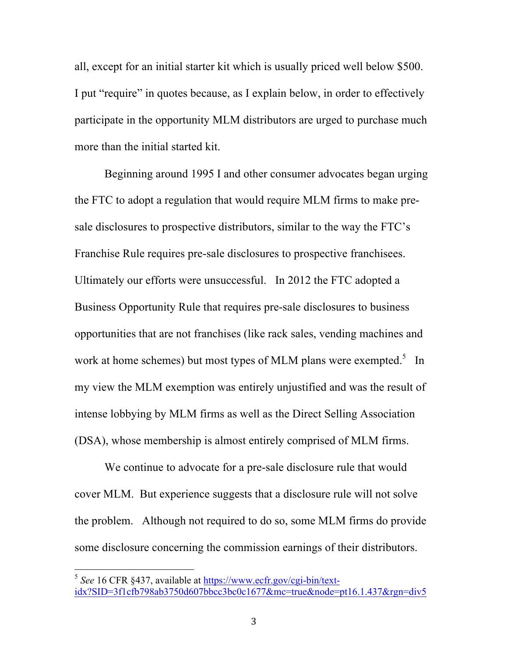all, except for an initial starter kit which is usually priced well below \$500. I put "require" in quotes because, as I explain below, in order to effectively participate in the opportunity MLM distributors are urged to purchase much more than the initial started kit.

Beginning around 1995 I and other consumer advocates began urging the FTC to adopt a regulation that would require MLM firms to make presale disclosures to prospective distributors, similar to the way the FTC's Franchise Rule requires pre-sale disclosures to prospective franchisees. Ultimately our efforts were unsuccessful. In 2012 the FTC adopted a Business Opportunity Rule that requires pre-sale disclosures to business opportunities that are not franchises (like rack sales, vending machines and work at home schemes) but most types of MLM plans were exempted.<sup>5</sup> In my view the MLM exemption was entirely unjustified and was the result of intense lobbying by MLM firms as well as the Direct Selling Association (DSA), whose membership is almost entirely comprised of MLM firms.

We continue to advocate for a pre-sale disclosure rule that would cover MLM. But experience suggests that a disclosure rule will not solve the problem. Although not required to do so, some MLM firms do provide some disclosure concerning the commission earnings of their distributors.

 <sup>5</sup> *See* 16 CFR §437, available at https://www.ecfr.gov/cgi-bin/textidx?SID=3f1cfb798ab3750d607bbcc3bc0c1677&mc=true&node=pt16.1.437&rgn=div5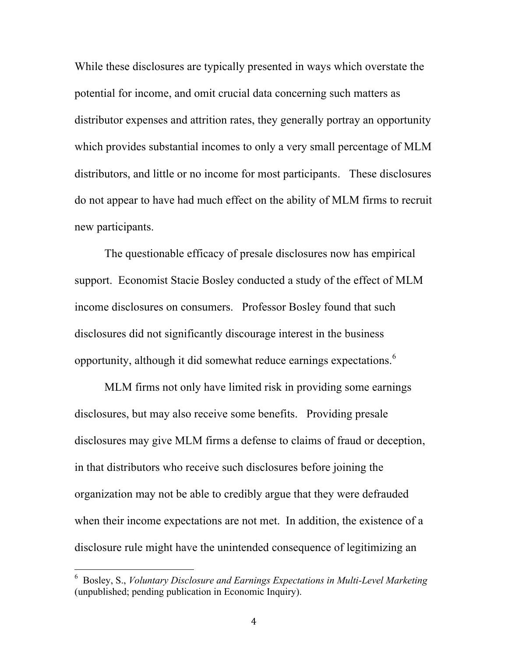While these disclosures are typically presented in ways which overstate the potential for income, and omit crucial data concerning such matters as distributor expenses and attrition rates, they generally portray an opportunity which provides substantial incomes to only a very small percentage of MLM distributors, and little or no income for most participants. These disclosures do not appear to have had much effect on the ability of MLM firms to recruit new participants.

The questionable efficacy of presale disclosures now has empirical support. Economist Stacie Bosley conducted a study of the effect of MLM income disclosures on consumers. Professor Bosley found that such disclosures did not significantly discourage interest in the business opportunity, although it did somewhat reduce earnings expectations.<sup>6</sup>

MLM firms not only have limited risk in providing some earnings disclosures, but may also receive some benefits. Providing presale disclosures may give MLM firms a defense to claims of fraud or deception, in that distributors who receive such disclosures before joining the organization may not be able to credibly argue that they were defrauded when their income expectations are not met. In addition, the existence of a disclosure rule might have the unintended consequence of legitimizing an

 <sup>6</sup> Bosley, S., *Voluntary Disclosure and Earnings Expectations in Multi-Level Marketing* (unpublished; pending publication in Economic Inquiry).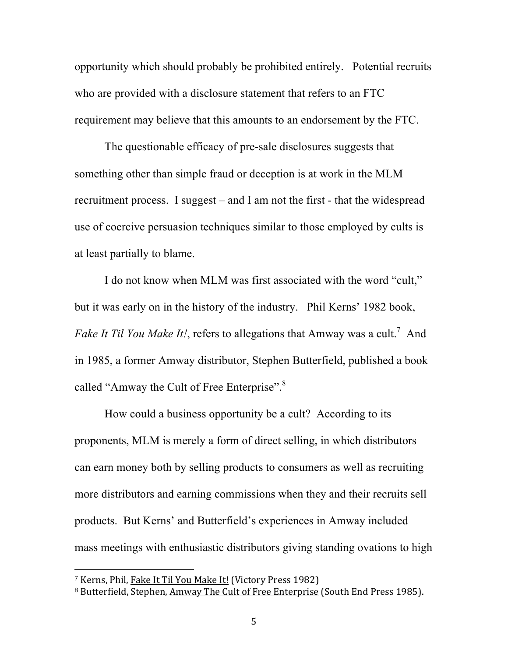opportunity which should probably be prohibited entirely. Potential recruits who are provided with a disclosure statement that refers to an FTC requirement may believe that this amounts to an endorsement by the FTC.

The questionable efficacy of pre-sale disclosures suggests that something other than simple fraud or deception is at work in the MLM recruitment process. I suggest – and I am not the first - that the widespread use of coercive persuasion techniques similar to those employed by cults is at least partially to blame.

I do not know when MLM was first associated with the word "cult," but it was early on in the history of the industry. Phil Kerns' 1982 book, Fake It Til You Make It!, refers to allegations that Amway was a cult.<sup>7</sup> And in 1985, a former Amway distributor, Stephen Butterfield, published a book called "Amway the Cult of Free Enterprise".<sup>8</sup>

How could a business opportunity be a cult? According to its proponents, MLM is merely a form of direct selling, in which distributors can earn money both by selling products to consumers as well as recruiting more distributors and earning commissions when they and their recruits sell products. But Kerns' and Butterfield's experiences in Amway included mass meetings with enthusiastic distributors giving standing ovations to high

<sup>&</sup>lt;sup>7</sup> Kerns, Phil, Fake It Til You Make It! (Victory Press 1982)

<sup>&</sup>lt;sup>8</sup> Butterfield, Stephen, Amway The Cult of Free Enterprise (South End Press 1985).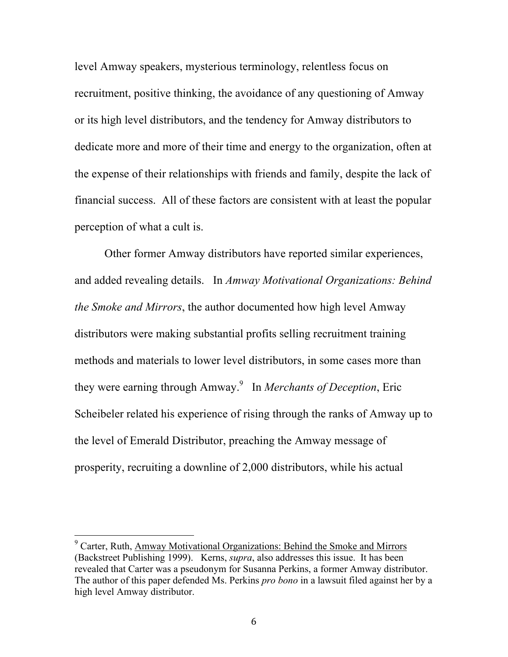level Amway speakers, mysterious terminology, relentless focus on recruitment, positive thinking, the avoidance of any questioning of Amway or its high level distributors, and the tendency for Amway distributors to dedicate more and more of their time and energy to the organization, often at the expense of their relationships with friends and family, despite the lack of financial success. All of these factors are consistent with at least the popular perception of what a cult is.

Other former Amway distributors have reported similar experiences, and added revealing details. In *Amway Motivational Organizations: Behind the Smoke and Mirrors*, the author documented how high level Amway distributors were making substantial profits selling recruitment training methods and materials to lower level distributors, in some cases more than they were earning through Amway.<sup>9</sup> In *Merchants of Deception*, Eric Scheibeler related his experience of rising through the ranks of Amway up to the level of Emerald Distributor, preaching the Amway message of prosperity, recruiting a downline of 2,000 distributors, while his actual

 $9^9$  Carter, Ruth, Amway Motivational Organizations: Behind the Smoke and Mirrors (Backstreet Publishing 1999). Kerns, *supra*, also addresses this issue. It has been revealed that Carter was a pseudonym for Susanna Perkins, a former Amway distributor. The author of this paper defended Ms. Perkins *pro bono* in a lawsuit filed against her by a high level Amway distributor.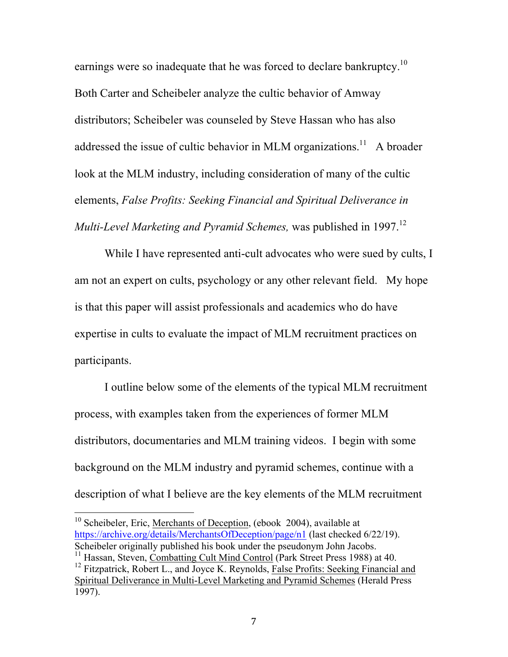earnings were so inadequate that he was forced to declare bankruptcy.<sup>10</sup> Both Carter and Scheibeler analyze the cultic behavior of Amway distributors; Scheibeler was counseled by Steve Hassan who has also addressed the issue of cultic behavior in MLM organizations.<sup>11</sup> A broader look at the MLM industry, including consideration of many of the cultic elements, *False Profits: Seeking Financial and Spiritual Deliverance in Multi-Level Marketing and Pyramid Schemes,* was published in 1997. 12

While I have represented anti-cult advocates who were sued by cults, I am not an expert on cults, psychology or any other relevant field. My hope is that this paper will assist professionals and academics who do have expertise in cults to evaluate the impact of MLM recruitment practices on participants.

I outline below some of the elements of the typical MLM recruitment process, with examples taken from the experiences of former MLM distributors, documentaries and MLM training videos. I begin with some background on the MLM industry and pyramid schemes, continue with a description of what I believe are the key elements of the MLM recruitment

 $10$  Scheibeler, Eric, Merchants of Deception, (ebook 2004), available at https://archive.org/details/MerchantsOfDeception/page/n1 (last checked 6/22/19). Scheibeler originally published his book under the pseudonym John Jacobs. <sup>11</sup> Hassan, Steven, Combatting Cult Mind Control (Park Street Press 1988) at 40.  $12$  Fitzpatrick, Robert L., and Joyce K. Reynolds, False Profits: Seeking Financial and Spiritual Deliverance in Multi-Level Marketing and Pyramid Schemes (Herald Press 1997).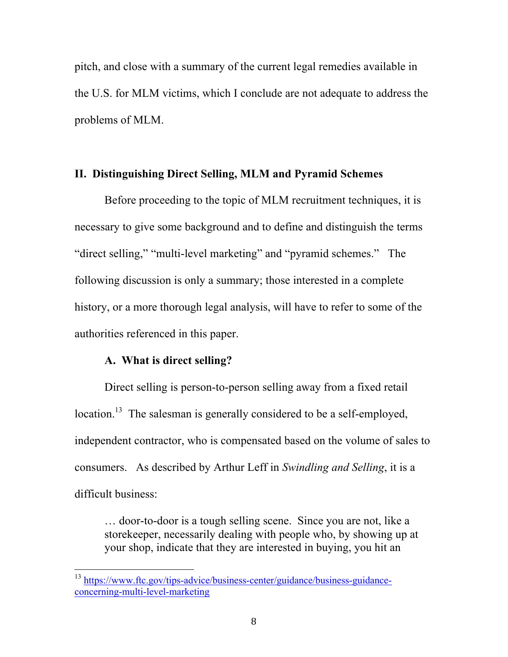pitch, and close with a summary of the current legal remedies available in the U.S. for MLM victims, which I conclude are not adequate to address the problems of MLM.

### **II. Distinguishing Direct Selling, MLM and Pyramid Schemes**

Before proceeding to the topic of MLM recruitment techniques, it is necessary to give some background and to define and distinguish the terms "direct selling," "multi-level marketing" and "pyramid schemes." The following discussion is only a summary; those interested in a complete history, or a more thorough legal analysis, will have to refer to some of the authorities referenced in this paper.

## **A. What is direct selling?**

Direct selling is person-to-person selling away from a fixed retail location.<sup>13</sup> The salesman is generally considered to be a self-employed, independent contractor, who is compensated based on the volume of sales to consumers. As described by Arthur Leff in *Swindling and Selling*, it is a difficult business:

… door-to-door is a tough selling scene. Since you are not, like a storekeeper, necessarily dealing with people who, by showing up at your shop, indicate that they are interested in buying, you hit an

 <sup>13</sup> https://www.ftc.gov/tips-advice/business-center/guidance/business-guidanceconcerning-multi-level-marketing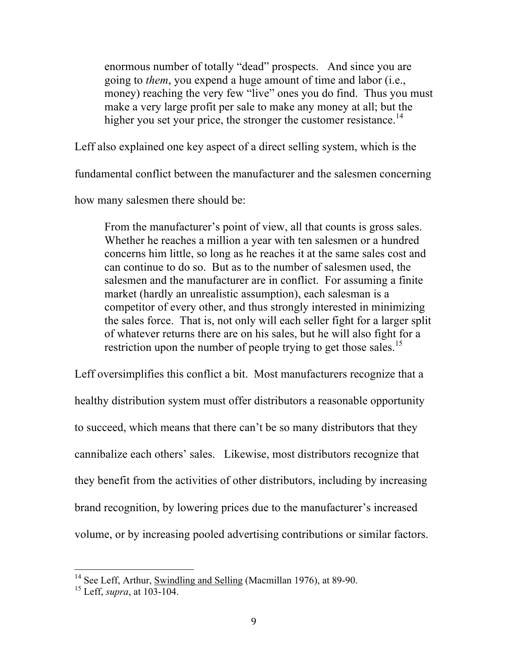enormous number of totally "dead" prospects. And since you are going to *them*, you expend a huge amount of time and labor (i.e., money) reaching the very few "live" ones you do find. Thus you must make a very large profit per sale to make any money at all; but the higher you set your price, the stronger the customer resistance.<sup>14</sup>

Leff also explained one key aspect of a direct selling system, which is the

fundamental conflict between the manufacturer and the salesmen concerning

how many salesmen there should be:

From the manufacturer's point of view, all that counts is gross sales. Whether he reaches a million a year with ten salesmen or a hundred concerns him little, so long as he reaches it at the same sales cost and can continue to do so. But as to the number of salesmen used, the salesmen and the manufacturer are in conflict. For assuming a finite market (hardly an unrealistic assumption), each salesman is a competitor of every other, and thus strongly interested in minimizing the sales force. That is, not only will each seller fight for a larger split of whatever returns there are on his sales, but he will also fight for a restriction upon the number of people trying to get those sales.<sup>15</sup>

Leff oversimplifies this conflict a bit. Most manufacturers recognize that a healthy distribution system must offer distributors a reasonable opportunity to succeed, which means that there can't be so many distributors that they cannibalize each others' sales. Likewise, most distributors recognize that they benefit from the activities of other distributors, including by increasing brand recognition, by lowering prices due to the manufacturer's increased volume, or by increasing pooled advertising contributions or similar factors.

<sup>&</sup>lt;sup>14</sup> See Leff, Arthur, Swindling and Selling (Macmillan 1976), at 89-90.

<sup>15</sup> Leff, *supra*, at 103-104.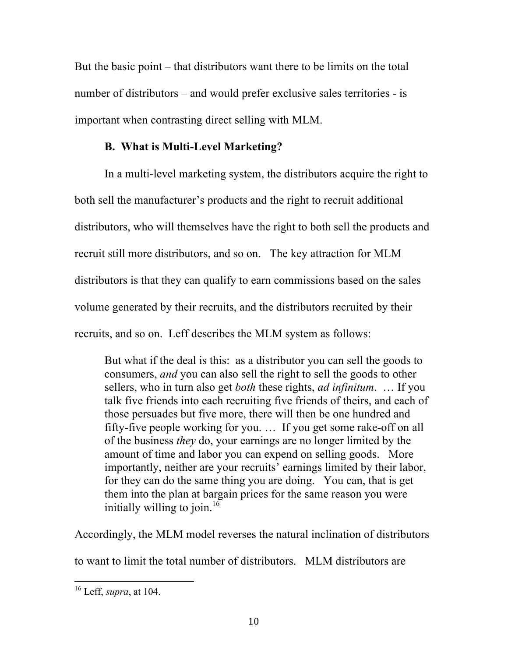But the basic point – that distributors want there to be limits on the total number of distributors – and would prefer exclusive sales territories - is important when contrasting direct selling with MLM.

# **B. What is Multi-Level Marketing?**

In a multi-level marketing system, the distributors acquire the right to both sell the manufacturer's products and the right to recruit additional distributors, who will themselves have the right to both sell the products and recruit still more distributors, and so on. The key attraction for MLM distributors is that they can qualify to earn commissions based on the sales volume generated by their recruits, and the distributors recruited by their recruits, and so on. Leff describes the MLM system as follows:

But what if the deal is this: as a distributor you can sell the goods to consumers, *and* you can also sell the right to sell the goods to other sellers, who in turn also get *both* these rights, *ad infinitum*. … If you talk five friends into each recruiting five friends of theirs, and each of those persuades but five more, there will then be one hundred and fifty-five people working for you. … If you get some rake-off on all of the business *they* do, your earnings are no longer limited by the amount of time and labor you can expend on selling goods. More importantly, neither are your recruits' earnings limited by their labor, for they can do the same thing you are doing. You can, that is get them into the plan at bargain prices for the same reason you were initially willing to join.<sup>16</sup>

Accordingly, the MLM model reverses the natural inclination of distributors

to want to limit the total number of distributors. MLM distributors are

 <sup>16</sup> Leff, *supra*, at 104.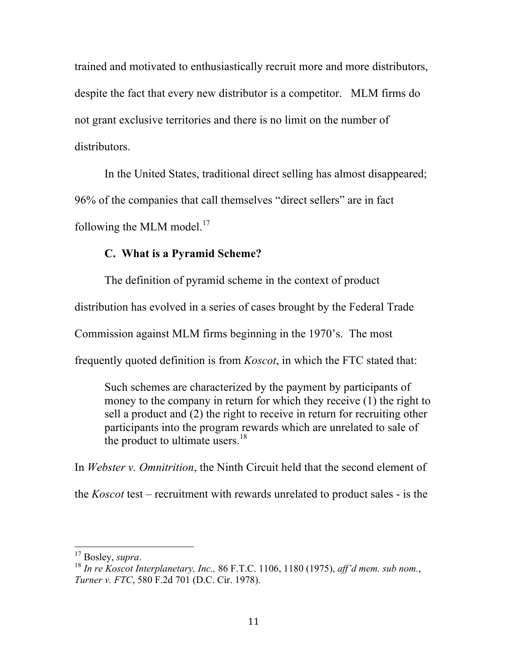trained and motivated to enthusiastically recruit more and more distributors, despite the fact that every new distributor is a competitor. MLM firms do not grant exclusive territories and there is no limit on the number of distributors.

In the United States, traditional direct selling has almost disappeared; 96% of the companies that call themselves "direct sellers" are in fact following the MLM model. $^{17}$ 

## **C. What is a Pyramid Scheme?**

The definition of pyramid scheme in the context of product

distribution has evolved in a series of cases brought by the Federal Trade

Commission against MLM firms beginning in the 1970's. The most

frequently quoted definition is from *Koscot*, in which the FTC stated that:

Such schemes are characterized by the payment by participants of money to the company in return for which they receive (1) the right to sell a product and (2) the right to receive in return for recruiting other participants into the program rewards which are unrelated to sale of the product to ultimate users. $18$ 

In *Webster v. Omnitrition*, the Ninth Circuit held that the second element of

the *Koscot* test – recruitment with rewards unrelated to product sales - is the

<sup>&</sup>lt;sup>17</sup> Bosley, *supra*.<br><sup>18</sup> *In re Koscot Interplanetary, Inc.,* 86 F.T.C. 1106, 1180 (1975), *aff'd mem. sub nom.*, *Turner v. FTC*, 580 F.2d 701 (D.C. Cir. 1978).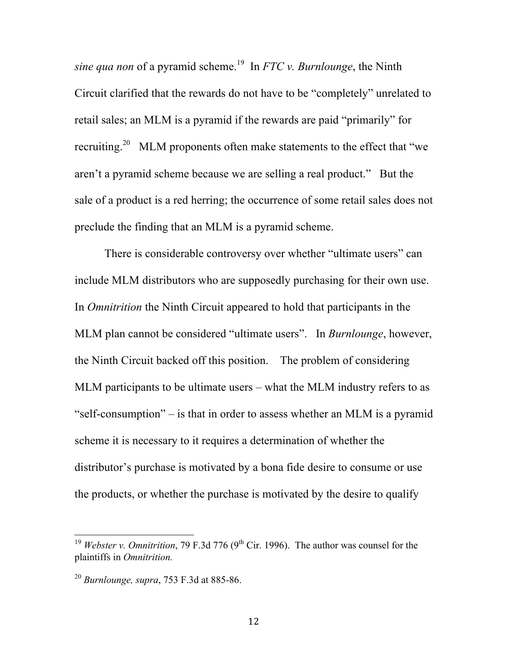*sine qua non* of a pyramid scheme.<sup>19</sup> In *FTC v. Burnlounge*, the Ninth Circuit clarified that the rewards do not have to be "completely" unrelated to retail sales; an MLM is a pyramid if the rewards are paid "primarily" for recruiting.<sup>20</sup> MLM proponents often make statements to the effect that "we aren't a pyramid scheme because we are selling a real product." But the sale of a product is a red herring; the occurrence of some retail sales does not preclude the finding that an MLM is a pyramid scheme.

There is considerable controversy over whether "ultimate users" can include MLM distributors who are supposedly purchasing for their own use. In *Omnitrition* the Ninth Circuit appeared to hold that participants in the MLM plan cannot be considered "ultimate users". In *Burnlounge*, however, the Ninth Circuit backed off this position. The problem of considering MLM participants to be ultimate users – what the MLM industry refers to as "self-consumption" – is that in order to assess whether an MLM is a pyramid scheme it is necessary to it requires a determination of whether the distributor's purchase is motivated by a bona fide desire to consume or use the products, or whether the purchase is motivated by the desire to qualify

 $\frac{19}{19}$  *Webster v. Omnitrition*, 79 F.3d 776 (9<sup>th</sup> Cir. 1996). The author was counsel for the plaintiffs in *Omnitrition.*

<sup>20</sup> *Burnlounge, supra*, 753 F.3d at 885-86.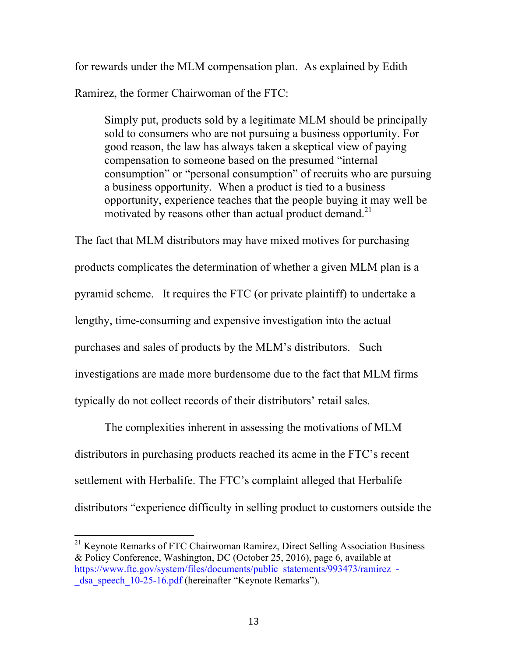for rewards under the MLM compensation plan. As explained by Edith Ramirez, the former Chairwoman of the FTC:

Simply put, products sold by a legitimate MLM should be principally sold to consumers who are not pursuing a business opportunity. For good reason, the law has always taken a skeptical view of paying compensation to someone based on the presumed "internal consumption" or "personal consumption" of recruits who are pursuing a business opportunity. When a product is tied to a business opportunity, experience teaches that the people buying it may well be motivated by reasons other than actual product demand.<sup>21</sup>

The fact that MLM distributors may have mixed motives for purchasing products complicates the determination of whether a given MLM plan is a pyramid scheme. It requires the FTC (or private plaintiff) to undertake a lengthy, time-consuming and expensive investigation into the actual purchases and sales of products by the MLM's distributors. Such investigations are made more burdensome due to the fact that MLM firms typically do not collect records of their distributors' retail sales.

The complexities inherent in assessing the motivations of MLM distributors in purchasing products reached its acme in the FTC's recent settlement with Herbalife. The FTC's complaint alleged that Herbalife distributors "experience difficulty in selling product to customers outside the

<sup>&</sup>lt;sup>21</sup> Keynote Remarks of FTC Chairwoman Ramirez, Direct Selling Association Business & Policy Conference, Washington, DC (October 25, 2016), page 6, available at https://www.ftc.gov/system/files/documents/public\_statements/993473/ramirez\_-\_dsa\_speech\_10-25-16.pdf (hereinafter "Keynote Remarks").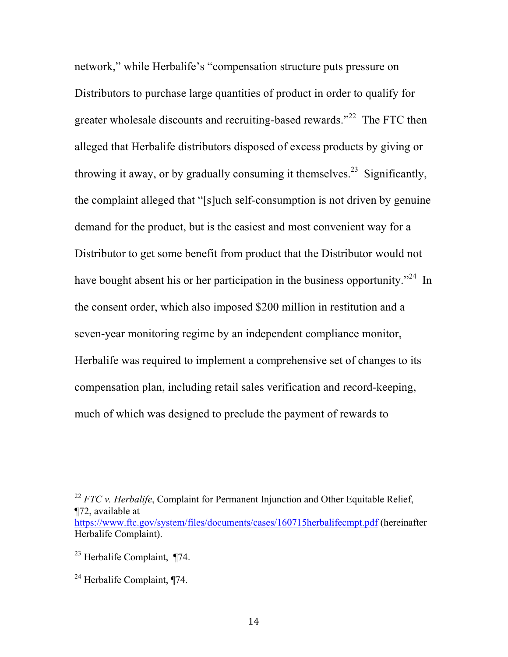network," while Herbalife's "compensation structure puts pressure on Distributors to purchase large quantities of product in order to qualify for greater wholesale discounts and recruiting-based rewards."<sup>22</sup> The FTC then alleged that Herbalife distributors disposed of excess products by giving or throwing it away, or by gradually consuming it themselves.<sup>23</sup> Significantly, the complaint alleged that "[s]uch self-consumption is not driven by genuine demand for the product, but is the easiest and most convenient way for a Distributor to get some benefit from product that the Distributor would not have bought absent his or her participation in the business opportunity.<sup>"24</sup> In the consent order, which also imposed \$200 million in restitution and a seven-year monitoring regime by an independent compliance monitor, Herbalife was required to implement a comprehensive set of changes to its compensation plan, including retail sales verification and record-keeping, much of which was designed to preclude the payment of rewards to

<sup>&</sup>lt;sup>22</sup> *FTC v. Herbalife*, Complaint for Permanent Injunction and Other Equitable Relief, ¶72, available at https://www.ftc.gov/system/files/documents/cases/160715herbalifecmpt.pdf (hereinafter Herbalife Complaint).

<sup>23</sup> Herbalife Complaint, ¶74.

<sup>24</sup> Herbalife Complaint, ¶74.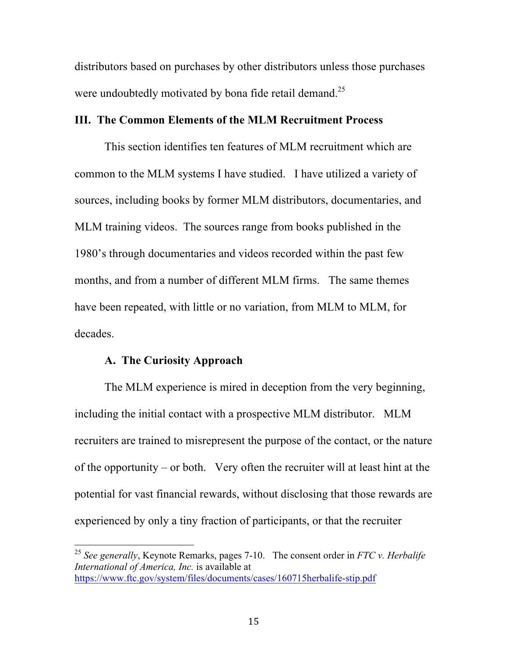distributors based on purchases by other distributors unless those purchases were undoubtedly motivated by bona fide retail demand.<sup>25</sup>

### **III. The Common Elements of the MLM Recruitment Process**

This section identifies ten features of MLM recruitment which are common to the MLM systems I have studied. I have utilized a variety of sources, including books by former MLM distributors, documentaries, and MLM training videos. The sources range from books published in the 1980's through documentaries and videos recorded within the past few months, and from a number of different MLM firms. The same themes have been repeated, with little or no variation, from MLM to MLM, for decades.

### **A. The Curiosity Approach**

The MLM experience is mired in deception from the very beginning, including the initial contact with a prospective MLM distributor. MLM recruiters are trained to misrepresent the purpose of the contact, or the nature of the opportunity – or both. Very often the recruiter will at least hint at the potential for vast financial rewards, without disclosing that those rewards are experienced by only a tiny fraction of participants, or that the recruiter

 <sup>25</sup> *See generally*, Keynote Remarks, pages 7-10. The consent order in *FTC v. Herbalife International of America, Inc.* is available at https://www.ftc.gov/system/files/documents/cases/160715herbalife-stip.pdf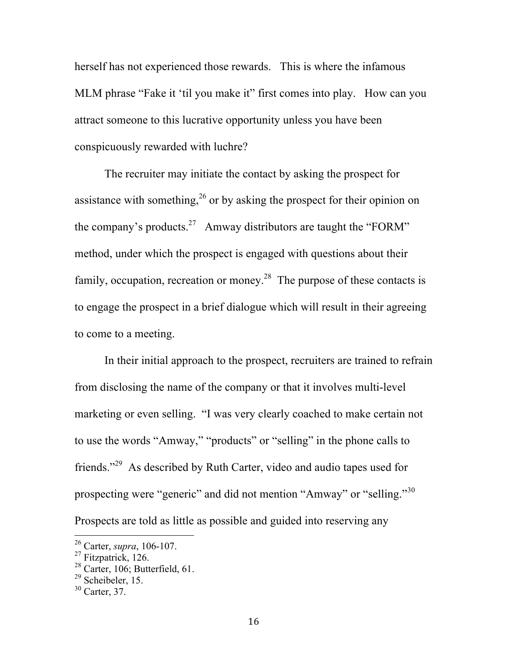herself has not experienced those rewards. This is where the infamous MLM phrase "Fake it 'til you make it" first comes into play. How can you attract someone to this lucrative opportunity unless you have been conspicuously rewarded with luchre?

The recruiter may initiate the contact by asking the prospect for assistance with something,<sup>26</sup> or by asking the prospect for their opinion on the company's products.<sup>27</sup> Amway distributors are taught the "FORM" method, under which the prospect is engaged with questions about their family, occupation, recreation or money.<sup>28</sup> The purpose of these contacts is to engage the prospect in a brief dialogue which will result in their agreeing to come to a meeting.

In their initial approach to the prospect, recruiters are trained to refrain from disclosing the name of the company or that it involves multi-level marketing or even selling. "I was very clearly coached to make certain not to use the words "Amway," "products" or "selling" in the phone calls to friends."29 As described by Ruth Carter, video and audio tapes used for prospecting were "generic" and did not mention "Amway" or "selling."30 Prospects are told as little as possible and guided into reserving any

<sup>&</sup>lt;sup>26</sup> Carter, *supra*, 106-107.<br><sup>27</sup> Fitzpatrick, 126.

 $28$  Carter, 106; Butterfield, 61.

 $29$  Scheibeler, 15.

<sup>30</sup> Carter, 37.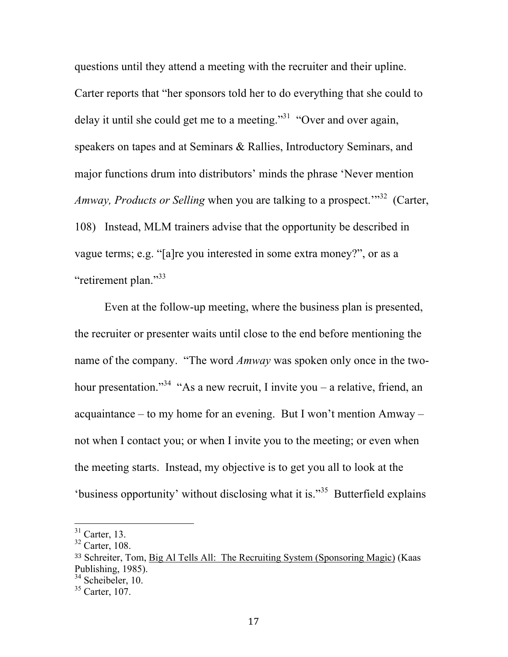questions until they attend a meeting with the recruiter and their upline. Carter reports that "her sponsors told her to do everything that she could to delay it until she could get me to a meeting."<sup>31</sup> "Over and over again, speakers on tapes and at Seminars & Rallies, Introductory Seminars, and major functions drum into distributors' minds the phrase 'Never mention *Amway, Products or Selling* when you are talking to a prospect.'" 32 (Carter, 108) Instead, MLM trainers advise that the opportunity be described in vague terms; e.g. "[a]re you interested in some extra money?", or as a "retirement plan."<sup>33</sup>

Even at the follow-up meeting, where the business plan is presented, the recruiter or presenter waits until close to the end before mentioning the name of the company. "The word *Amway* was spoken only once in the twohour presentation."<sup>34</sup> "As a new recruit, I invite you – a relative, friend, an acquaintance – to my home for an evening. But I won't mention Amway – not when I contact you; or when I invite you to the meeting; or even when the meeting starts. Instead, my objective is to get you all to look at the 'business opportunity' without disclosing what it is."35 Butterfield explains

 $31$  Carter, 13.

 $32$  Carter, 108.

<sup>33</sup> Schreiter, Tom, Big Al Tells All: The Recruiting System (Sponsoring Magic) (Kaas Publishing, 1985).<br><sup>34</sup> Scheibeler, 10.

 $35$  Carter, 107.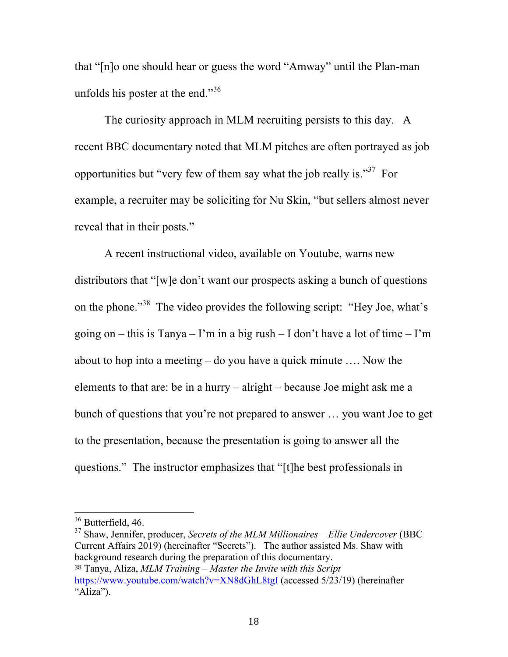that "[n]o one should hear or guess the word "Amway" until the Plan-man unfolds his poster at the end."<sup>36</sup>

The curiosity approach in MLM recruiting persists to this day. A recent BBC documentary noted that MLM pitches are often portrayed as job opportunities but "very few of them say what the job really is."<sup>37</sup> For example, a recruiter may be soliciting for Nu Skin, "but sellers almost never reveal that in their posts."

A recent instructional video, available on Youtube, warns new distributors that "[w]e don't want our prospects asking a bunch of questions on the phone."<sup>38</sup> The video provides the following script: "Hey Joe, what's going on – this is Tanya – I'm in a big rush – I don't have a lot of time – I'm about to hop into a meeting – do you have a quick minute …. Now the elements to that are: be in a hurry – alright – because Joe might ask me a bunch of questions that you're not prepared to answer … you want Joe to get to the presentation, because the presentation is going to answer all the questions." The instructor emphasizes that "[t]he best professionals in

 <sup>36</sup> Butterfield, 46.

<sup>37</sup> Shaw, Jennifer, producer, *Secrets of the MLM Millionaires – Ellie Undercover* (BBC Current Affairs 2019) (hereinafter "Secrets"). The author assisted Ms. Shaw with background research during the preparation of this documentary. <sup>38</sup> Tanya, Aliza, *MLM Training – Master the Invite with this Script* https://www.youtube.com/watch?v=XN8dGhL8tgI (accessed 5/23/19) (hereinafter "Aliza").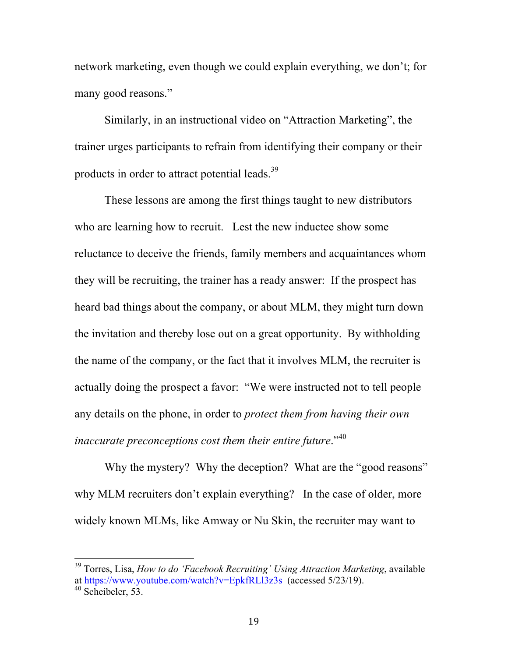network marketing, even though we could explain everything, we don't; for many good reasons."

Similarly, in an instructional video on "Attraction Marketing", the trainer urges participants to refrain from identifying their company or their products in order to attract potential leads.<sup>39</sup>

These lessons are among the first things taught to new distributors who are learning how to recruit. Lest the new inductee show some reluctance to deceive the friends, family members and acquaintances whom they will be recruiting, the trainer has a ready answer: If the prospect has heard bad things about the company, or about MLM, they might turn down the invitation and thereby lose out on a great opportunity. By withholding the name of the company, or the fact that it involves MLM, the recruiter is actually doing the prospect a favor: "We were instructed not to tell people any details on the phone, in order to *protect them from having their own inaccurate preconceptions cost them their entire future*."<sup>40</sup>

Why the mystery? Why the deception? What are the "good reasons" why MLM recruiters don't explain everything? In the case of older, more widely known MLMs, like Amway or Nu Skin, the recruiter may want to

 <sup>39</sup> Torres, Lisa, *How to do 'Facebook Recruiting' Using Attraction Marketing*, available at https://www.youtube.com/watch?v=EpkfRLl3z3s (accessed 5/23/19).<br><sup>40</sup> Scheibeler, 53.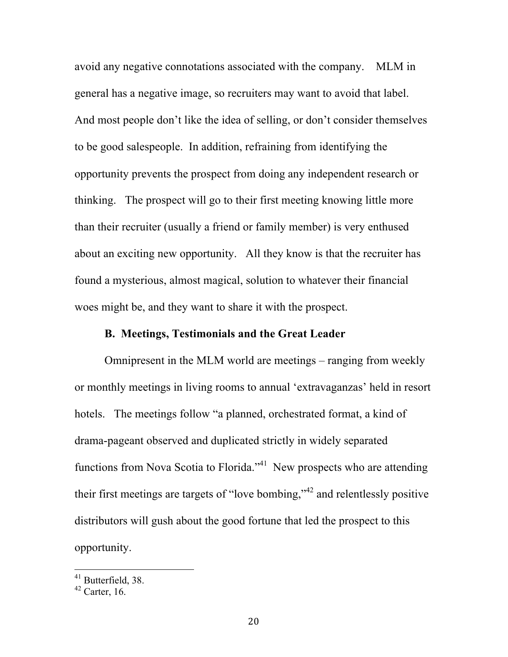avoid any negative connotations associated with the company. MLM in general has a negative image, so recruiters may want to avoid that label. And most people don't like the idea of selling, or don't consider themselves to be good salespeople. In addition, refraining from identifying the opportunity prevents the prospect from doing any independent research or thinking. The prospect will go to their first meeting knowing little more than their recruiter (usually a friend or family member) is very enthused about an exciting new opportunity. All they know is that the recruiter has found a mysterious, almost magical, solution to whatever their financial woes might be, and they want to share it with the prospect.

## **B. Meetings, Testimonials and the Great Leader**

Omnipresent in the MLM world are meetings – ranging from weekly or monthly meetings in living rooms to annual 'extravaganzas' held in resort hotels. The meetings follow "a planned, orchestrated format, a kind of drama-pageant observed and duplicated strictly in widely separated functions from Nova Scotia to Florida.<sup> $341$ </sup> New prospects who are attending their first meetings are targets of "love bombing,"<sup>42</sup> and relentlessly positive distributors will gush about the good fortune that led the prospect to this opportunity.

<sup>&</sup>lt;sup>41</sup> Butterfield, 38.

 $42$  Carter, 16.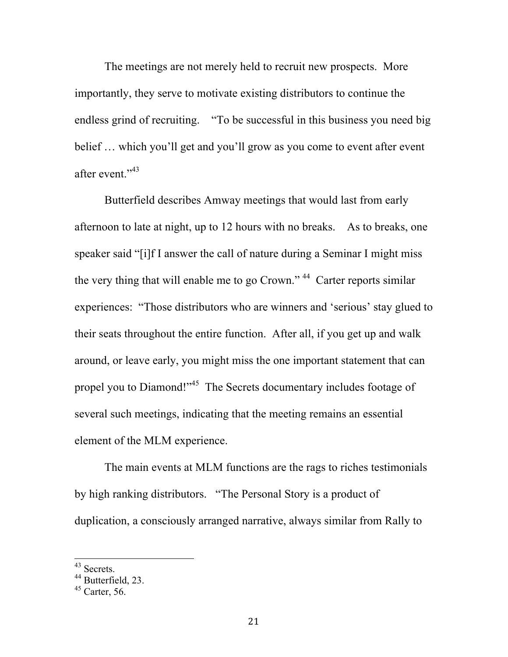The meetings are not merely held to recruit new prospects. More importantly, they serve to motivate existing distributors to continue the endless grind of recruiting. "To be successful in this business you need big belief … which you'll get and you'll grow as you come to event after event after event."43

Butterfield describes Amway meetings that would last from early afternoon to late at night, up to 12 hours with no breaks. As to breaks, one speaker said "[i]f I answer the call of nature during a Seminar I might miss the very thing that will enable me to go Crown."<sup>44</sup> Carter reports similar experiences: "Those distributors who are winners and 'serious' stay glued to their seats throughout the entire function. After all, if you get up and walk around, or leave early, you might miss the one important statement that can propel you to Diamond!"<sup>45</sup> The Secrets documentary includes footage of several such meetings, indicating that the meeting remains an essential element of the MLM experience.

The main events at MLM functions are the rags to riches testimonials by high ranking distributors. "The Personal Story is a product of duplication, a consciously arranged narrative, always similar from Rally to

 <sup>43</sup> Secrets.

<sup>&</sup>lt;sup>44</sup> Butterfield, 23.

 $45$  Carter, 56.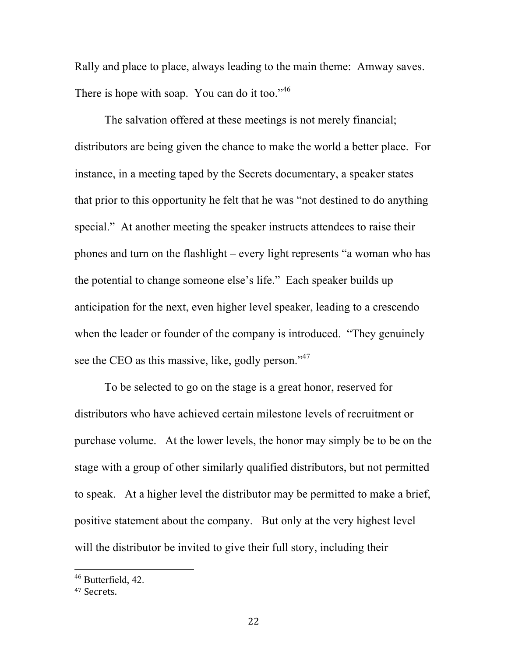Rally and place to place, always leading to the main theme: Amway saves. There is hope with soap. You can do it too."<sup>46</sup>

The salvation offered at these meetings is not merely financial; distributors are being given the chance to make the world a better place. For instance, in a meeting taped by the Secrets documentary, a speaker states that prior to this opportunity he felt that he was "not destined to do anything special." At another meeting the speaker instructs attendees to raise their phones and turn on the flashlight – every light represents "a woman who has the potential to change someone else's life." Each speaker builds up anticipation for the next, even higher level speaker, leading to a crescendo when the leader or founder of the company is introduced. "They genuinely see the CEO as this massive, like, godly person."<sup>47</sup>

To be selected to go on the stage is a great honor, reserved for distributors who have achieved certain milestone levels of recruitment or purchase volume. At the lower levels, the honor may simply be to be on the stage with a group of other similarly qualified distributors, but not permitted to speak. At a higher level the distributor may be permitted to make a brief, positive statement about the company. But only at the very highest level will the distributor be invited to give their full story, including their

 <sup>46</sup> Butterfield, 42.

<sup>47</sup> Secrets.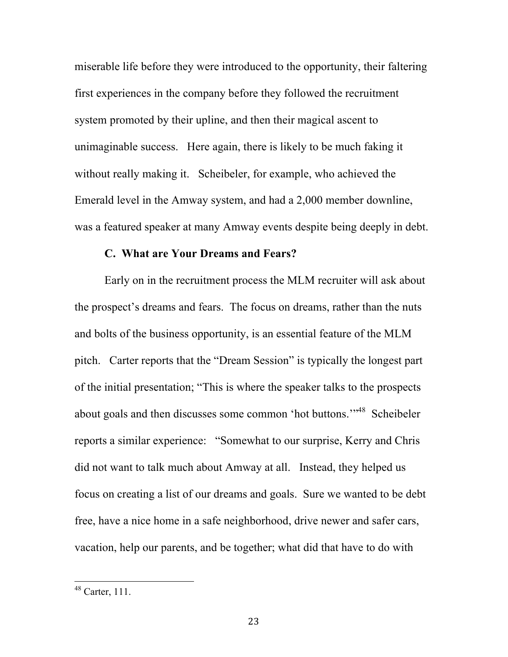miserable life before they were introduced to the opportunity, their faltering first experiences in the company before they followed the recruitment system promoted by their upline, and then their magical ascent to unimaginable success. Here again, there is likely to be much faking it without really making it. Scheibeler, for example, who achieved the Emerald level in the Amway system, and had a 2,000 member downline, was a featured speaker at many Amway events despite being deeply in debt.

### **C. What are Your Dreams and Fears?**

Early on in the recruitment process the MLM recruiter will ask about the prospect's dreams and fears. The focus on dreams, rather than the nuts and bolts of the business opportunity, is an essential feature of the MLM pitch. Carter reports that the "Dream Session" is typically the longest part of the initial presentation; "This is where the speaker talks to the prospects about goals and then discusses some common 'hot buttons.'"48 Scheibeler reports a similar experience: "Somewhat to our surprise, Kerry and Chris did not want to talk much about Amway at all. Instead, they helped us focus on creating a list of our dreams and goals. Sure we wanted to be debt free, have a nice home in a safe neighborhood, drive newer and safer cars, vacation, help our parents, and be together; what did that have to do with

 <sup>48</sup> Carter, 111.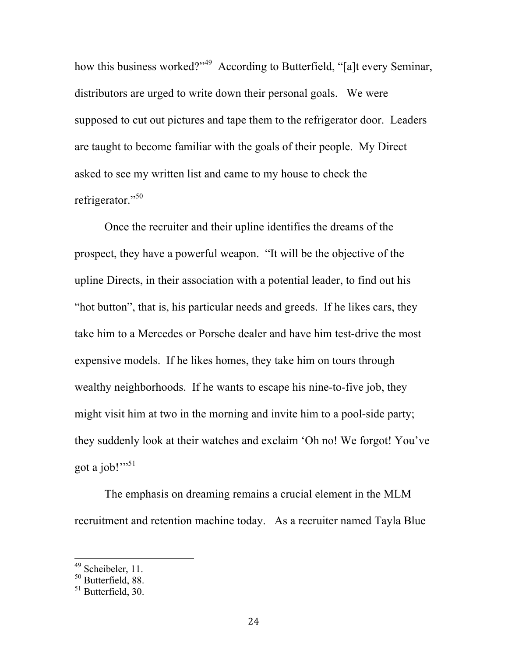how this business worked?"<sup>49</sup> According to Butterfield, "[a]t every Seminar, distributors are urged to write down their personal goals. We were supposed to cut out pictures and tape them to the refrigerator door. Leaders are taught to become familiar with the goals of their people. My Direct asked to see my written list and came to my house to check the refrigerator."<sup>50</sup>

Once the recruiter and their upline identifies the dreams of the prospect, they have a powerful weapon. "It will be the objective of the upline Directs, in their association with a potential leader, to find out his "hot button", that is, his particular needs and greeds. If he likes cars, they take him to a Mercedes or Porsche dealer and have him test-drive the most expensive models. If he likes homes, they take him on tours through wealthy neighborhoods. If he wants to escape his nine-to-five job, they might visit him at two in the morning and invite him to a pool-side party; they suddenly look at their watches and exclaim 'Oh no! We forgot! You've got a job!"<sup>51</sup>

The emphasis on dreaming remains a crucial element in the MLM recruitment and retention machine today. As a recruiter named Tayla Blue

 <sup>49</sup> Scheibeler, 11.

<sup>&</sup>lt;sup>50</sup> Butterfield, 88.

 $51$  Butterfield 30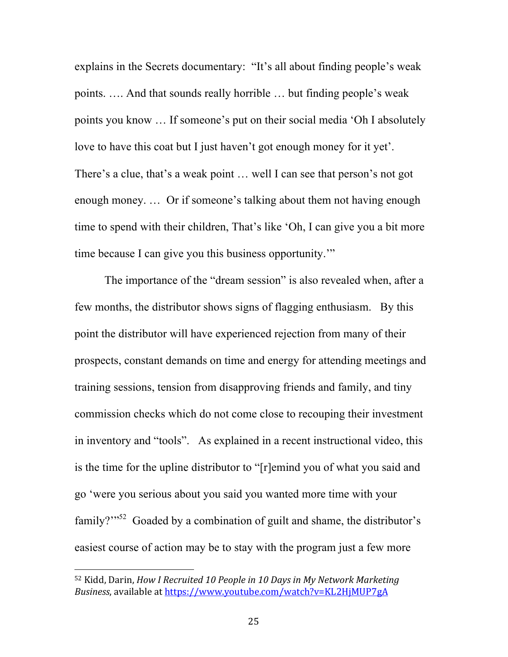explains in the Secrets documentary: "It's all about finding people's weak points. …. And that sounds really horrible … but finding people's weak points you know … If someone's put on their social media 'Oh I absolutely love to have this coat but I just haven't got enough money for it yet'. There's a clue, that's a weak point … well I can see that person's not got enough money. … Or if someone's talking about them not having enough time to spend with their children, That's like 'Oh, I can give you a bit more time because I can give you this business opportunity.'"

The importance of the "dream session" is also revealed when, after a few months, the distributor shows signs of flagging enthusiasm. By this point the distributor will have experienced rejection from many of their prospects, constant demands on time and energy for attending meetings and training sessions, tension from disapproving friends and family, and tiny commission checks which do not come close to recouping their investment in inventory and "tools". As explained in a recent instructional video, this is the time for the upline distributor to "[r]emind you of what you said and go 'were you serious about you said you wanted more time with your family? $\frac{1}{2}$  Goaded by a combination of guilt and shame, the distributor's easiest course of action may be to stay with the program just a few more

<sup>&</sup>lt;sup>52</sup> Kidd, Darin, *How I Recruited 10 People in 10 Days in My Network Marketing Business*, available at https://www.youtube.com/watch?v=KL2HjMUP7gA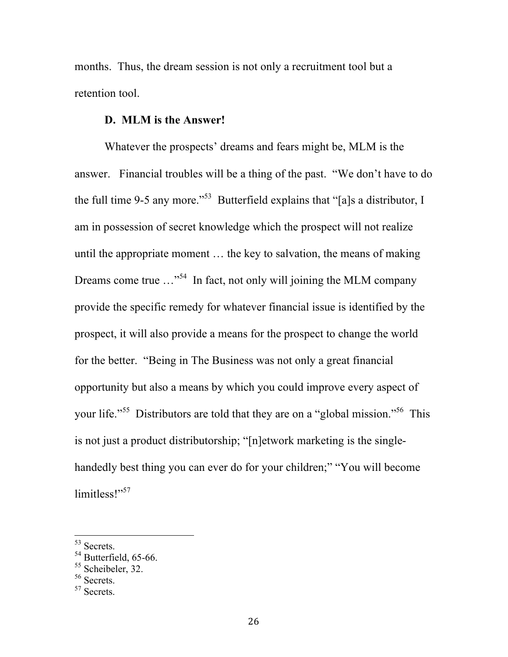months. Thus, the dream session is not only a recruitment tool but a retention tool.

## **D. MLM is the Answer!**

Whatever the prospects' dreams and fears might be, MLM is the answer. Financial troubles will be a thing of the past. "We don't have to do the full time 9-5 any more."<sup>53</sup> Butterfield explains that "[a]s a distributor, I am in possession of secret knowledge which the prospect will not realize until the appropriate moment … the key to salvation, the means of making Dreams come true  $\ldots$ <sup>54</sup> In fact, not only will joining the MLM company provide the specific remedy for whatever financial issue is identified by the prospect, it will also provide a means for the prospect to change the world for the better. "Being in The Business was not only a great financial opportunity but also a means by which you could improve every aspect of your life."<sup>55</sup> Distributors are told that they are on a "global mission."<sup>56</sup> This is not just a product distributorship; "[n]etwork marketing is the singlehandedly best thing you can ever do for your children;" "You will become limitless!"<sup>57</sup>

 <sup>53</sup> Secrets.

<sup>&</sup>lt;sup>54</sup> Butterfield, 65-66.

<sup>&</sup>lt;sup>55</sup> Scheibeler, 32.

<sup>&</sup>lt;sup>56</sup> Secrets.

<sup>57</sup> Secrets.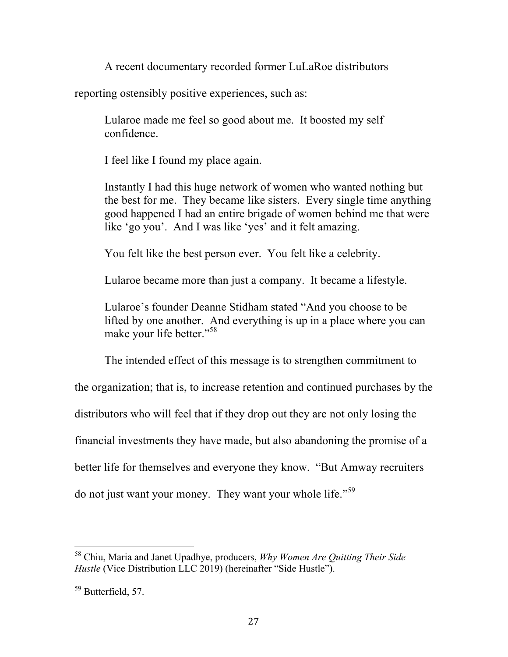A recent documentary recorded former LuLaRoe distributors

reporting ostensibly positive experiences, such as:

Lularoe made me feel so good about me. It boosted my self confidence.

I feel like I found my place again.

Instantly I had this huge network of women who wanted nothing but the best for me. They became like sisters. Every single time anything good happened I had an entire brigade of women behind me that were like 'go you'. And I was like 'yes' and it felt amazing.

You felt like the best person ever. You felt like a celebrity.

Lularoe became more than just a company. It became a lifestyle.

Lularoe's founder Deanne Stidham stated "And you choose to be lifted by one another. And everything is up in a place where you can make your life better."<sup>58</sup>

The intended effect of this message is to strengthen commitment to the organization; that is, to increase retention and continued purchases by the distributors who will feel that if they drop out they are not only losing the financial investments they have made, but also abandoning the promise of a better life for themselves and everyone they know. "But Amway recruiters do not just want your money. They want your whole life."<sup>59</sup>

 <sup>58</sup> Chiu, Maria and Janet Upadhye, producers, *Why Women Are Quitting Their Side Hustle* (Vice Distribution LLC 2019) (hereinafter "Side Hustle").

<sup>59</sup> Butterfield, 57.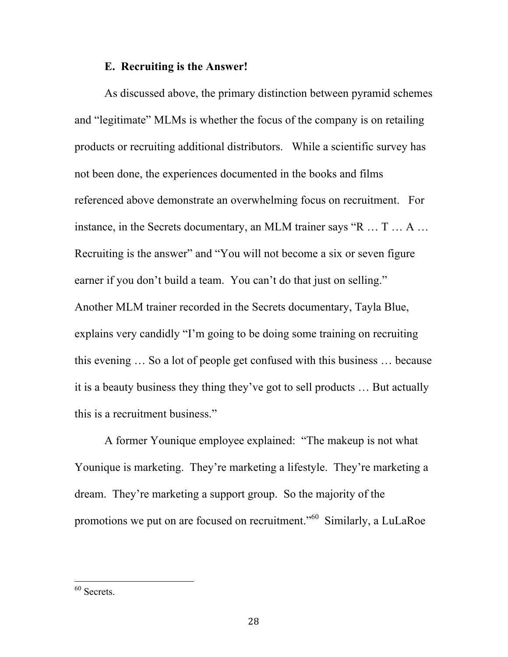#### **E. Recruiting is the Answer!**

As discussed above, the primary distinction between pyramid schemes and "legitimate" MLMs is whether the focus of the company is on retailing products or recruiting additional distributors. While a scientific survey has not been done, the experiences documented in the books and films referenced above demonstrate an overwhelming focus on recruitment. For instance, in the Secrets documentary, an MLM trainer says "R … T … A … Recruiting is the answer" and "You will not become a six or seven figure earner if you don't build a team. You can't do that just on selling." Another MLM trainer recorded in the Secrets documentary, Tayla Blue, explains very candidly "I'm going to be doing some training on recruiting this evening … So a lot of people get confused with this business … because it is a beauty business they thing they've got to sell products … But actually this is a recruitment business."

A former Younique employee explained: "The makeup is not what Younique is marketing. They're marketing a lifestyle. They're marketing a dream. They're marketing a support group. So the majority of the promotions we put on are focused on recruitment."<sup>60</sup> Similarly, a LuLaRoe

 <sup>60</sup> Secrets.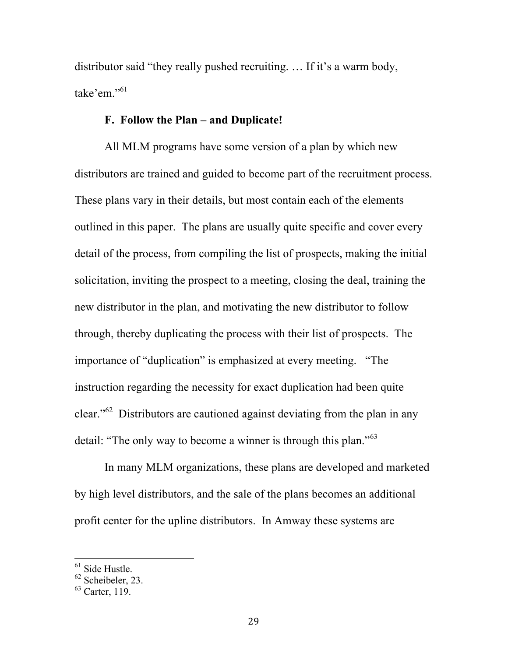distributor said "they really pushed recruiting. … If it's a warm body, take'em."<sup>61</sup>

## **F. Follow the Plan – and Duplicate!**

All MLM programs have some version of a plan by which new distributors are trained and guided to become part of the recruitment process. These plans vary in their details, but most contain each of the elements outlined in this paper. The plans are usually quite specific and cover every detail of the process, from compiling the list of prospects, making the initial solicitation, inviting the prospect to a meeting, closing the deal, training the new distributor in the plan, and motivating the new distributor to follow through, thereby duplicating the process with their list of prospects. The importance of "duplication" is emphasized at every meeting. "The instruction regarding the necessity for exact duplication had been quite clear."<sup>62</sup> Distributors are cautioned against deviating from the plan in any detail: "The only way to become a winner is through this plan."<sup>63</sup>

 In many MLM organizations, these plans are developed and marketed by high level distributors, and the sale of the plans becomes an additional profit center for the upline distributors. In Amway these systems are

<sup>&</sup>lt;sup>61</sup> Side Hustle.

 $62$  Scheibeler, 23.

 $63$  Carter, 119.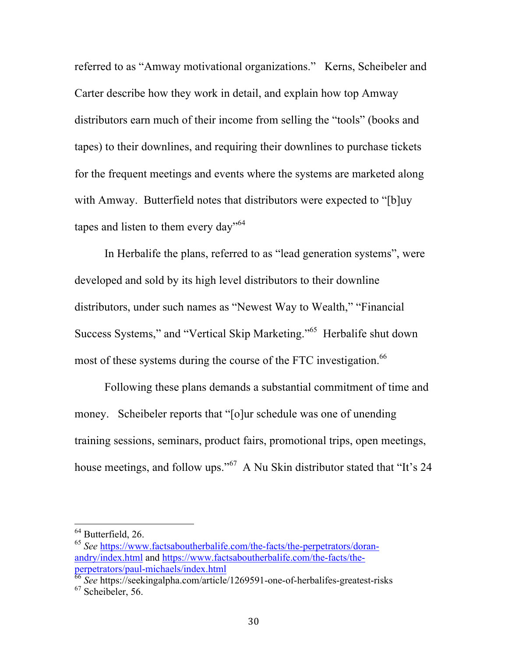referred to as "Amway motivational organizations." Kerns, Scheibeler and Carter describe how they work in detail, and explain how top Amway distributors earn much of their income from selling the "tools" (books and tapes) to their downlines, and requiring their downlines to purchase tickets for the frequent meetings and events where the systems are marketed along with Amway. Butterfield notes that distributors were expected to "[b]uy tapes and listen to them every day"<sup>64</sup>

 In Herbalife the plans, referred to as "lead generation systems", were developed and sold by its high level distributors to their downline distributors, under such names as "Newest Way to Wealth," "Financial Success Systems," and "Vertical Skip Marketing."65 Herbalife shut down most of these systems during the course of the FTC investigation.<sup>66</sup>

Following these plans demands a substantial commitment of time and money. Scheibeler reports that "[o]ur schedule was one of unending training sessions, seminars, product fairs, promotional trips, open meetings, house meetings, and follow ups."<sup>67</sup> A Nu Skin distributor stated that "It's 24

 $64$  Butterfield, 26.

<sup>65</sup> *See* https://www.factsaboutherbalife.com/the-facts/the-perpetrators/doranandry/index.html and https://www.factsaboutherbalife.com/the-facts/theperpetrators/paul-michaels/index.html

<sup>66</sup> *See* https://seekingalpha.com/article/1269591-one-of-herbalifes-greatest-risks  $67$  Scheibeler, 56.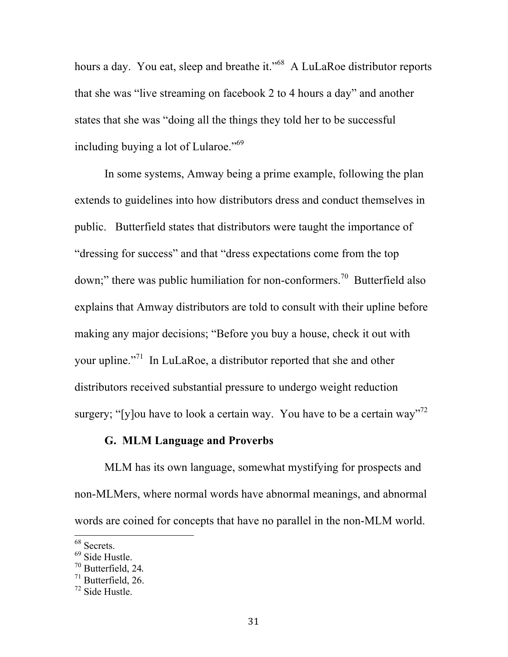hours a day. You eat, sleep and breathe it."<sup>68</sup> A LuLaRoe distributor reports that she was "live streaming on facebook 2 to 4 hours a day" and another states that she was "doing all the things they told her to be successful including buying a lot of Lularoe."69

In some systems, Amway being a prime example, following the plan extends to guidelines into how distributors dress and conduct themselves in public. Butterfield states that distributors were taught the importance of "dressing for success" and that "dress expectations come from the top down;" there was public humiliation for non-conformers.<sup>70</sup> Butterfield also explains that Amway distributors are told to consult with their upline before making any major decisions; "Before you buy a house, check it out with your upline."<sup>71</sup> In LuLaRoe, a distributor reported that she and other distributors received substantial pressure to undergo weight reduction surgery; "[y]ou have to look a certain way. You have to be a certain way"<sup>72</sup>

## **G. MLM Language and Proverbs**

MLM has its own language, somewhat mystifying for prospects and non-MLMers, where normal words have abnormal meanings, and abnormal words are coined for concepts that have no parallel in the non-MLM world.

 <sup>68</sup> Secrets.

<sup>69</sup> Side Hustle.

 $^{70}$  Butterfield, 24.<br> $^{71}$  Butterfield, 26.

 $72$  Side Hustle.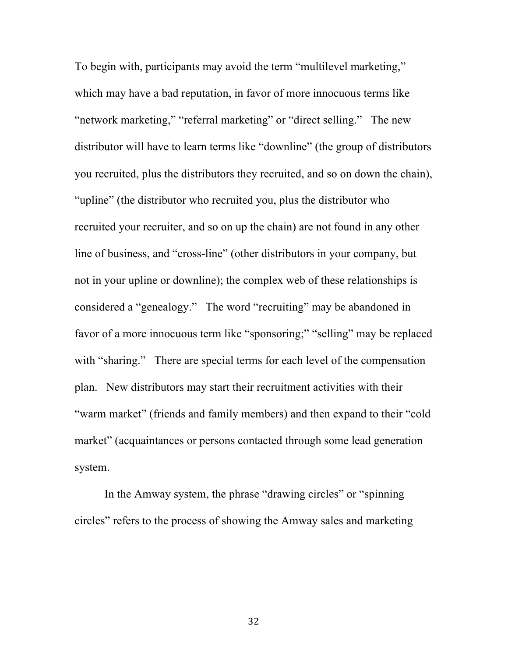To begin with, participants may avoid the term "multilevel marketing," which may have a bad reputation, in favor of more innocuous terms like "network marketing," "referral marketing" or "direct selling." The new distributor will have to learn terms like "downline" (the group of distributors you recruited, plus the distributors they recruited, and so on down the chain), "upline" (the distributor who recruited you, plus the distributor who recruited your recruiter, and so on up the chain) are not found in any other line of business, and "cross-line" (other distributors in your company, but not in your upline or downline); the complex web of these relationships is considered a "genealogy." The word "recruiting" may be abandoned in favor of a more innocuous term like "sponsoring;" "selling" may be replaced with "sharing." There are special terms for each level of the compensation plan. New distributors may start their recruitment activities with their "warm market" (friends and family members) and then expand to their "cold market" (acquaintances or persons contacted through some lead generation system.

In the Amway system, the phrase "drawing circles" or "spinning circles" refers to the process of showing the Amway sales and marketing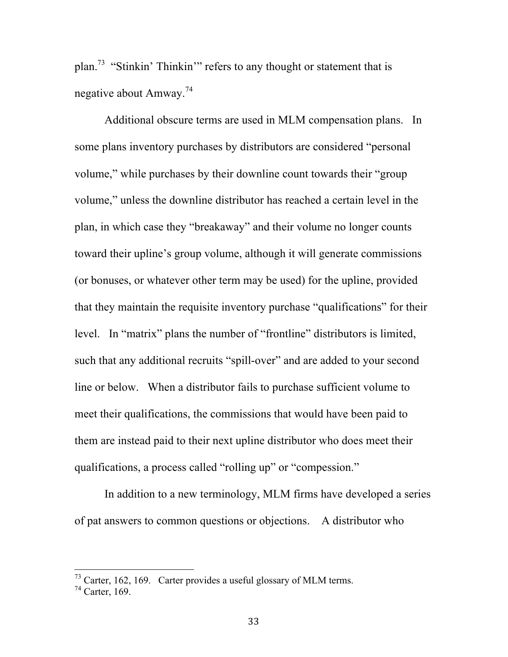plan.<sup>73</sup> "Stinkin' Thinkin'" refers to any thought or statement that is negative about Amway.74

Additional obscure terms are used in MLM compensation plans. In some plans inventory purchases by distributors are considered "personal volume," while purchases by their downline count towards their "group volume," unless the downline distributor has reached a certain level in the plan, in which case they "breakaway" and their volume no longer counts toward their upline's group volume, although it will generate commissions (or bonuses, or whatever other term may be used) for the upline, provided that they maintain the requisite inventory purchase "qualifications" for their level. In "matrix" plans the number of "frontline" distributors is limited, such that any additional recruits "spill-over" and are added to your second line or below. When a distributor fails to purchase sufficient volume to meet their qualifications, the commissions that would have been paid to them are instead paid to their next upline distributor who does meet their qualifications, a process called "rolling up" or "compession."

In addition to a new terminology, MLM firms have developed a series of pat answers to common questions or objections. A distributor who

 $^{73}$  Carter, 162, 169. Carter provides a useful glossary of MLM terms.

<sup>74</sup> Carter, 169.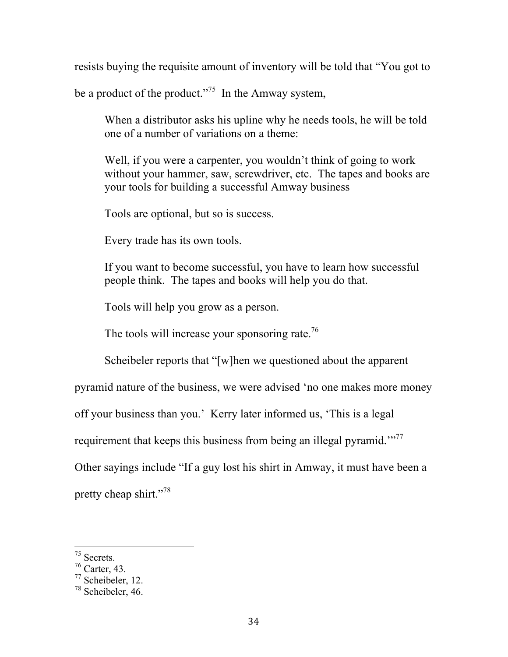resists buying the requisite amount of inventory will be told that "You got to

be a product of the product."<sup>75</sup> In the Amway system,

When a distributor asks his upline why he needs tools, he will be told one of a number of variations on a theme:

Well, if you were a carpenter, you wouldn't think of going to work without your hammer, saw, screwdriver, etc. The tapes and books are your tools for building a successful Amway business

Tools are optional, but so is success.

Every trade has its own tools.

If you want to become successful, you have to learn how successful people think. The tapes and books will help you do that.

Tools will help you grow as a person.

The tools will increase your sponsoring rate.<sup>76</sup>

Scheibeler reports that "[w]hen we questioned about the apparent

pyramid nature of the business, we were advised 'no one makes more money

off your business than you.' Kerry later informed us, 'This is a legal

requirement that keeps this business from being an illegal pyramid."<sup>77</sup>

Other sayings include "If a guy lost his shirt in Amway, it must have been a

pretty cheap shirt."78

 <sup>75</sup> Secrets.

<sup>76</sup> Carter, 43.

 $77$  Scheibeler, 12.

<sup>78</sup> Scheibeler, 46.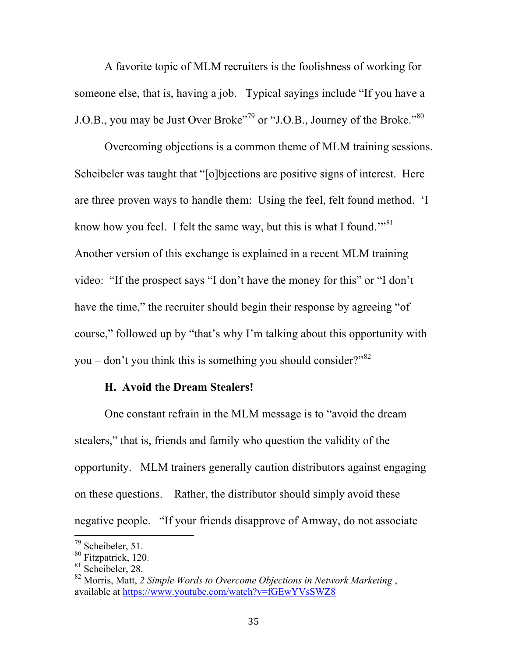A favorite topic of MLM recruiters is the foolishness of working for someone else, that is, having a job. Typical sayings include "If you have a J.O.B., you may be Just Over Broke"<sup>79</sup> or "J.O.B., Journey of the Broke."<sup>80</sup>

Overcoming objections is a common theme of MLM training sessions. Scheibeler was taught that "[o]bjections are positive signs of interest. Here are three proven ways to handle them: Using the feel, felt found method. 'I know how you feel. I felt the same way, but this is what I found."<sup>81</sup> Another version of this exchange is explained in a recent MLM training video: "If the prospect says "I don't have the money for this" or "I don't have the time," the recruiter should begin their response by agreeing "of course," followed up by "that's why I'm talking about this opportunity with you – don't you think this is something you should consider?" $82$ 

## **H. Avoid the Dream Stealers!**

One constant refrain in the MLM message is to "avoid the dream stealers," that is, friends and family who question the validity of the opportunity. MLM trainers generally caution distributors against engaging on these questions. Rather, the distributor should simply avoid these negative people. "If your friends disapprove of Amway, do not associate

 <sup>79</sup> Scheibeler, 51.

<sup>80</sup> Fitzpatrick, 120.

<sup>&</sup>lt;sup>81</sup> Scheibeler, 28.

<sup>82</sup> Morris, Matt, *2 Simple Words to Overcome Objections in Network Marketing* , available at https://www.youtube.com/watch?v=fGEwYVsSWZ8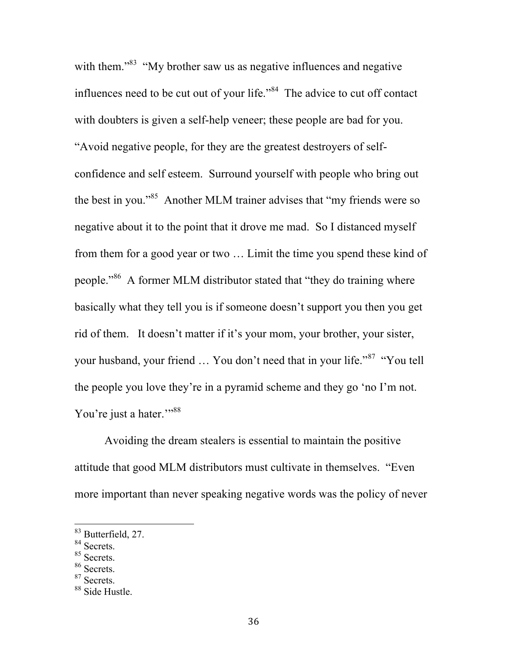with them.<sup> $33$ </sup> "My brother saw us as negative influences and negative influences need to be cut out of your life."<sup>84</sup> The advice to cut off contact with doubters is given a self-help veneer; these people are bad for you. "Avoid negative people, for they are the greatest destroyers of selfconfidence and self esteem. Surround yourself with people who bring out the best in you."<sup>85</sup> Another MLM trainer advises that "my friends were so negative about it to the point that it drove me mad. So I distanced myself from them for a good year or two … Limit the time you spend these kind of people."<sup>86</sup> A former MLM distributor stated that "they do training where basically what they tell you is if someone doesn't support you then you get rid of them. It doesn't matter if it's your mom, your brother, your sister, your husband, your friend … You don't need that in your life."<sup>87</sup> "You tell the people you love they're in a pyramid scheme and they go 'no I'm not. You're just a hater."<sup>38</sup>

Avoiding the dream stealers is essential to maintain the positive attitude that good MLM distributors must cultivate in themselves. "Even more important than never speaking negative words was the policy of never

 <sup>83</sup> Butterfield, 27.

<sup>84</sup> Secrets.

<sup>&</sup>lt;sup>85</sup> Secrets.

<sup>86</sup> Secrets.

<sup>&</sup>lt;sup>87</sup> Secrets.

<sup>&</sup>lt;sup>88</sup> Side Hustle.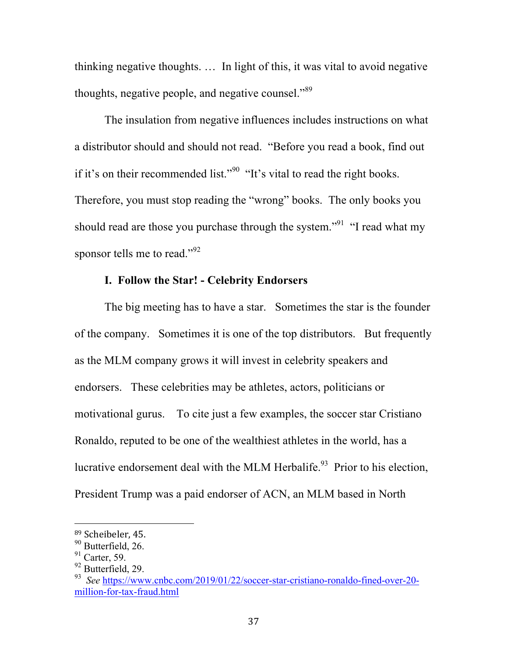thinking negative thoughts. … In light of this, it was vital to avoid negative thoughts, negative people, and negative counsel."<sup>89</sup>

The insulation from negative influences includes instructions on what a distributor should and should not read. "Before you read a book, find out if it's on their recommended list."<sup>90</sup> "It's vital to read the right books. Therefore, you must stop reading the "wrong" books. The only books you should read are those you purchase through the system."<sup>91</sup> "I read what my sponsor tells me to read."<sup>92</sup>

# **I. Follow the Star! - Celebrity Endorsers**

The big meeting has to have a star. Sometimes the star is the founder of the company. Sometimes it is one of the top distributors. But frequently as the MLM company grows it will invest in celebrity speakers and endorsers. These celebrities may be athletes, actors, politicians or motivational gurus. To cite just a few examples, the soccer star Cristiano Ronaldo, reputed to be one of the wealthiest athletes in the world, has a lucrative endorsement deal with the MLM Herbalife.<sup>93</sup> Prior to his election, President Trump was a paid endorser of ACN, an MLM based in North

<sup>&</sup>lt;sup>89</sup> Scheibeler, 45.

<sup>&</sup>lt;sup>90</sup> Butterfield, 26.

 $91$  Carter, 59.

<sup>&</sup>lt;sup>92</sup> Butterfield, 29.

<sup>93</sup> *See* https://www.cnbc.com/2019/01/22/soccer-star-cristiano-ronaldo-fined-over-20 million-for-tax-fraud.html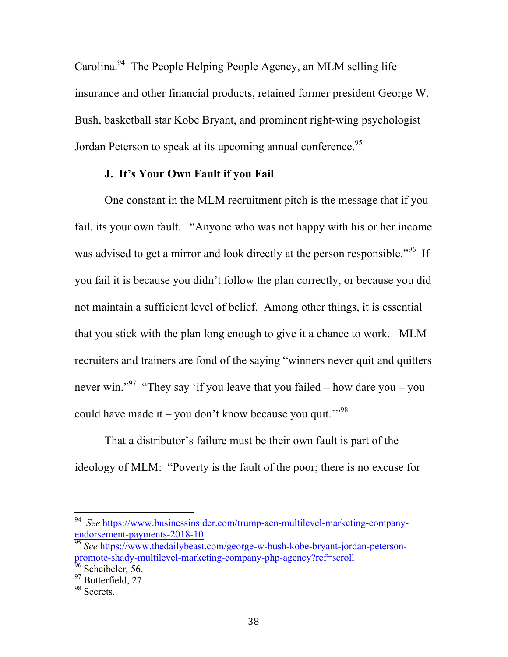Carolina.<sup>94</sup> The People Helping People Agency, an MLM selling life insurance and other financial products, retained former president George W. Bush, basketball star Kobe Bryant, and prominent right-wing psychologist Jordan Peterson to speak at its upcoming annual conference.<sup>95</sup>

### **J. It's Your Own Fault if you Fail**

One constant in the MLM recruitment pitch is the message that if you fail, its your own fault. "Anyone who was not happy with his or her income was advised to get a mirror and look directly at the person responsible.<sup>"96</sup> If you fail it is because you didn't follow the plan correctly, or because you did not maintain a sufficient level of belief. Among other things, it is essential that you stick with the plan long enough to give it a chance to work. MLM recruiters and trainers are fond of the saying "winners never quit and quitters never win."<sup>97</sup> "They say 'if you leave that you failed – how dare you – you could have made it – you don't know because you quit."<sup>98</sup>

That a distributor's failure must be their own fault is part of the ideology of MLM: "Poverty is the fault of the poor; there is no excuse for

 <sup>94</sup>*See* https://www.businessinsider.com/trump-acn-multilevel-marketing-companyendorsement-payments-2018-10

<sup>&</sup>lt;sup>95</sup> See https://www.thedailybeast.com/george-w-bush-kobe-bryant-jordan-petersonpromote-shady-multilevel-marketing-company-php-agency?ref=scroll

<sup>&</sup>lt;sup>96</sup> Scheibeler, 56.

<sup>&</sup>lt;sup>97</sup> Butterfield, 27.

<sup>&</sup>lt;sup>98</sup> Secrets.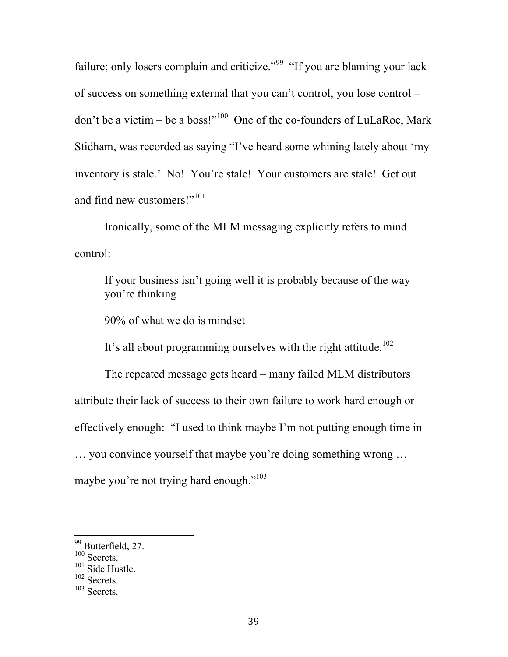failure; only losers complain and criticize."<sup>99</sup> "If you are blaming your lack of success on something external that you can't control, you lose control – don't be a victim – be a boss!"<sup>100</sup> One of the co-founders of LuLaRoe, Mark Stidham, was recorded as saying "I've heard some whining lately about 'my inventory is stale.' No! You're stale! Your customers are stale! Get out and find new customers!"<sup>101</sup>

Ironically, some of the MLM messaging explicitly refers to mind control:

If your business isn't going well it is probably because of the way you're thinking

90% of what we do is mindset

It's all about programming ourselves with the right attitude.<sup>102</sup>

The repeated message gets heard – many failed MLM distributors attribute their lack of success to their own failure to work hard enough or effectively enough: "I used to think maybe I'm not putting enough time in … you convince yourself that maybe you're doing something wrong …

maybe you're not trying hard enough."<sup>103</sup>

<sup>&</sup>lt;sup>99</sup> Butterfield, 27.

<sup>&</sup>lt;sup>100</sup> Secrets.

<sup>&</sup>lt;sup>101</sup> Side Hustle.

<sup>102</sup> Secrets.

<sup>103</sup> Secrets.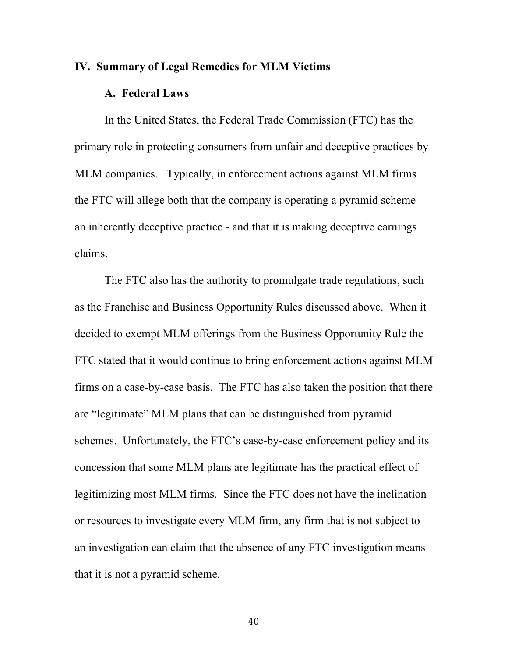#### **IV. Summary of Legal Remedies for MLM Victims**

### **A. Federal Laws**

In the United States, the Federal Trade Commission (FTC) has the primary role in protecting consumers from unfair and deceptive practices by MLM companies. Typically, in enforcement actions against MLM firms the FTC will allege both that the company is operating a pyramid scheme – an inherently deceptive practice - and that it is making deceptive earnings claims.

The FTC also has the authority to promulgate trade regulations, such as the Franchise and Business Opportunity Rules discussed above. When it decided to exempt MLM offerings from the Business Opportunity Rule the FTC stated that it would continue to bring enforcement actions against MLM firms on a case-by-case basis. The FTC has also taken the position that there are "legitimate" MLM plans that can be distinguished from pyramid schemes. Unfortunately, the FTC's case-by-case enforcement policy and its concession that some MLM plans are legitimate has the practical effect of legitimizing most MLM firms. Since the FTC does not have the inclination or resources to investigate every MLM firm, any firm that is not subject to an investigation can claim that the absence of any FTC investigation means that it is not a pyramid scheme.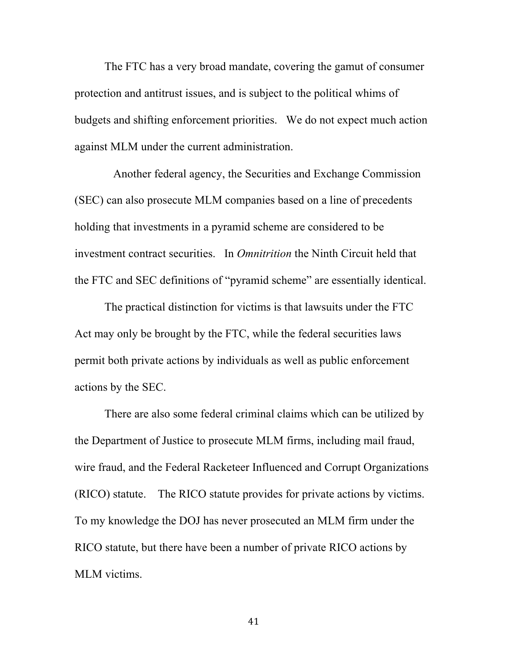The FTC has a very broad mandate, covering the gamut of consumer protection and antitrust issues, and is subject to the political whims of budgets and shifting enforcement priorities. We do not expect much action against MLM under the current administration.

 Another federal agency, the Securities and Exchange Commission (SEC) can also prosecute MLM companies based on a line of precedents holding that investments in a pyramid scheme are considered to be investment contract securities. In *Omnitrition* the Ninth Circuit held that the FTC and SEC definitions of "pyramid scheme" are essentially identical.

The practical distinction for victims is that lawsuits under the FTC Act may only be brought by the FTC, while the federal securities laws permit both private actions by individuals as well as public enforcement actions by the SEC.

There are also some federal criminal claims which can be utilized by the Department of Justice to prosecute MLM firms, including mail fraud, wire fraud, and the Federal Racketeer Influenced and Corrupt Organizations (RICO) statute. The RICO statute provides for private actions by victims. To my knowledge the DOJ has never prosecuted an MLM firm under the RICO statute, but there have been a number of private RICO actions by MLM victims.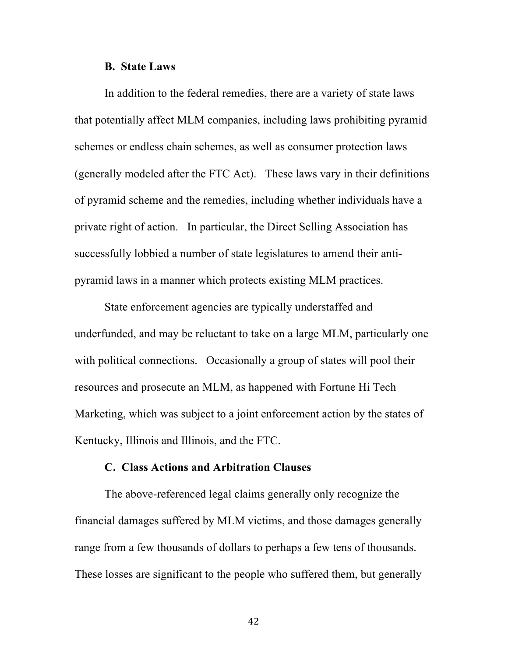#### **B. State Laws**

In addition to the federal remedies, there are a variety of state laws that potentially affect MLM companies, including laws prohibiting pyramid schemes or endless chain schemes, as well as consumer protection laws (generally modeled after the FTC Act). These laws vary in their definitions of pyramid scheme and the remedies, including whether individuals have a private right of action. In particular, the Direct Selling Association has successfully lobbied a number of state legislatures to amend their antipyramid laws in a manner which protects existing MLM practices.

State enforcement agencies are typically understaffed and underfunded, and may be reluctant to take on a large MLM, particularly one with political connections. Occasionally a group of states will pool their resources and prosecute an MLM, as happened with Fortune Hi Tech Marketing, which was subject to a joint enforcement action by the states of Kentucky, Illinois and Illinois, and the FTC.

### **C. Class Actions and Arbitration Clauses**

The above-referenced legal claims generally only recognize the financial damages suffered by MLM victims, and those damages generally range from a few thousands of dollars to perhaps a few tens of thousands. These losses are significant to the people who suffered them, but generally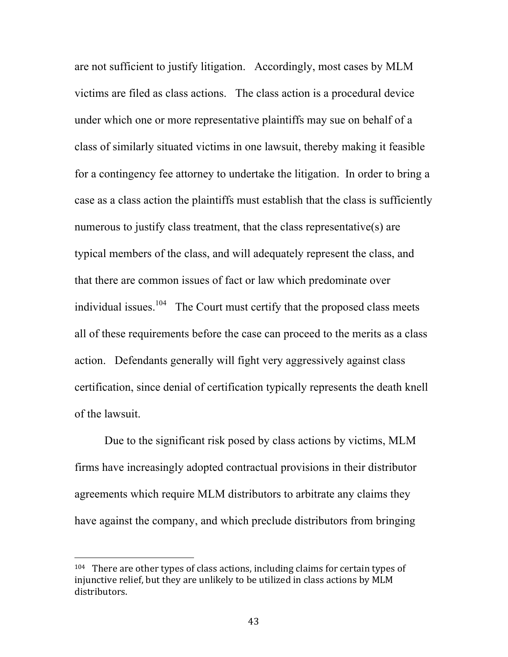are not sufficient to justify litigation. Accordingly, most cases by MLM victims are filed as class actions. The class action is a procedural device under which one or more representative plaintiffs may sue on behalf of a class of similarly situated victims in one lawsuit, thereby making it feasible for a contingency fee attorney to undertake the litigation. In order to bring a case as a class action the plaintiffs must establish that the class is sufficiently numerous to justify class treatment, that the class representative(s) are typical members of the class, and will adequately represent the class, and that there are common issues of fact or law which predominate over individual issues.<sup>104</sup> The Court must certify that the proposed class meets all of these requirements before the case can proceed to the merits as a class action. Defendants generally will fight very aggressively against class certification, since denial of certification typically represents the death knell of the lawsuit.

Due to the significant risk posed by class actions by victims, MLM firms have increasingly adopted contractual provisions in their distributor agreements which require MLM distributors to arbitrate any claims they have against the company, and which preclude distributors from bringing

 $104$  There are other types of class actions, including claims for certain types of injunctive relief, but they are unlikely to be utilized in class actions by MLM distributors.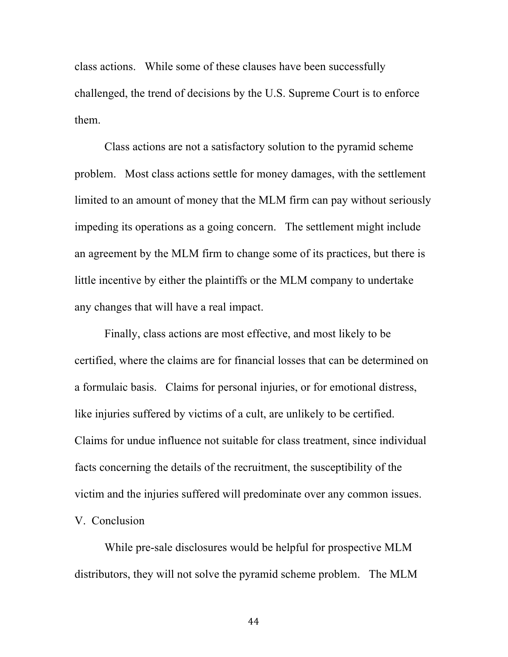class actions. While some of these clauses have been successfully challenged, the trend of decisions by the U.S. Supreme Court is to enforce them.

Class actions are not a satisfactory solution to the pyramid scheme problem. Most class actions settle for money damages, with the settlement limited to an amount of money that the MLM firm can pay without seriously impeding its operations as a going concern. The settlement might include an agreement by the MLM firm to change some of its practices, but there is little incentive by either the plaintiffs or the MLM company to undertake any changes that will have a real impact.

Finally, class actions are most effective, and most likely to be certified, where the claims are for financial losses that can be determined on a formulaic basis. Claims for personal injuries, or for emotional distress, like injuries suffered by victims of a cult, are unlikely to be certified. Claims for undue influence not suitable for class treatment, since individual facts concerning the details of the recruitment, the susceptibility of the victim and the injuries suffered will predominate over any common issues. V. Conclusion

While pre-sale disclosures would be helpful for prospective MLM distributors, they will not solve the pyramid scheme problem. The MLM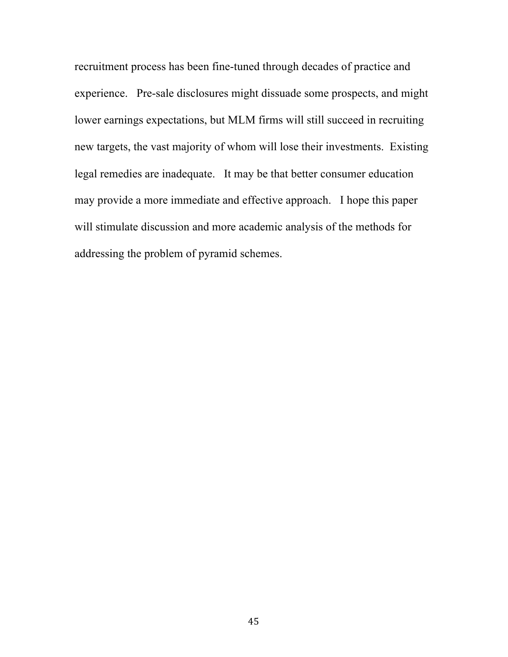recruitment process has been fine-tuned through decades of practice and experience. Pre-sale disclosures might dissuade some prospects, and might lower earnings expectations, but MLM firms will still succeed in recruiting new targets, the vast majority of whom will lose their investments. Existing legal remedies are inadequate. It may be that better consumer education may provide a more immediate and effective approach. I hope this paper will stimulate discussion and more academic analysis of the methods for addressing the problem of pyramid schemes.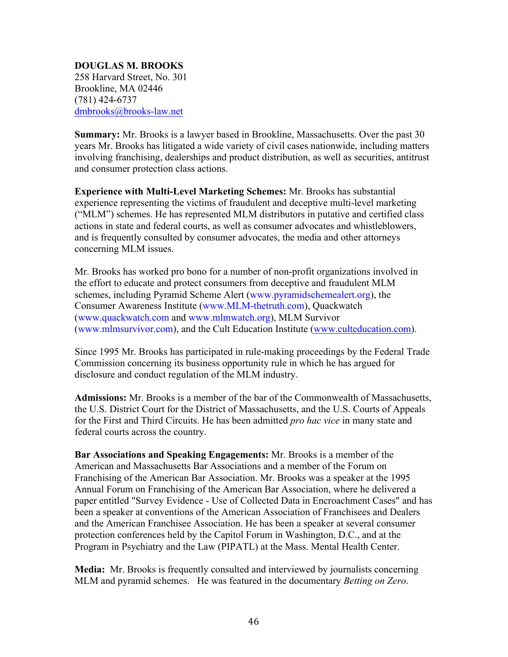#### **DOUGLAS M. BROOKS** 258 Harvard Street, No. 301 Brookline, MA 02446 (781) 424-6737 dmbrooks@brooks-law.net

**Summary:** Mr. Brooks is a lawyer based in Brookline, Massachusetts. Over the past 30 years Mr. Brooks has litigated a wide variety of civil cases nationwide, including matters involving franchising, dealerships and product distribution, as well as securities, antitrust and consumer protection class actions.

**Experience with Multi-Level Marketing Schemes:** Mr. Brooks has substantial experience representing the victims of fraudulent and deceptive multi-level marketing ("MLM") schemes. He has represented MLM distributors in putative and certified class actions in state and federal courts, as well as consumer advocates and whistleblowers, and is frequently consulted by consumer advocates, the media and other attorneys concerning MLM issues.

Mr. Brooks has worked pro bono for a number of non-profit organizations involved in the effort to educate and protect consumers from deceptive and fraudulent MLM schemes, including Pyramid Scheme Alert (www.pyramidschemealert.org), the Consumer Awareness Institute (www.MLM-thetruth.com), Quackwatch (www.quackwatch.com and www.mlmwatch.org), MLM Survivor (www.mlmsurvivor.com), and the Cult Education Institute (www.culteducation.com).

Since 1995 Mr. Brooks has participated in rule-making proceedings by the Federal Trade Commission concerning its business opportunity rule in which he has argued for disclosure and conduct regulation of the MLM industry.

**Admissions:** Mr. Brooks is a member of the bar of the Commonwealth of Massachusetts, the U.S. District Court for the District of Massachusetts, and the U.S. Courts of Appeals for the First and Third Circuits. He has been admitted *pro hac vice* in many state and federal courts across the country.

**Bar Associations and Speaking Engagements:** Mr. Brooks is a member of the American and Massachusetts Bar Associations and a member of the Forum on Franchising of the American Bar Association. Mr. Brooks was a speaker at the 1995 Annual Forum on Franchising of the American Bar Association, where he delivered a paper entitled "Survey Evidence - Use of Collected Data in Encroachment Cases" and has been a speaker at conventions of the American Association of Franchisees and Dealers and the American Franchisee Association. He has been a speaker at several consumer protection conferences held by the Capitol Forum in Washington, D.C., and at the Program in Psychiatry and the Law (PIPATL) at the Mass. Mental Health Center.

**Media:** Mr. Brooks is frequently consulted and interviewed by journalists concerning MLM and pyramid schemes. He was featured in the documentary *Betting on Zero*.